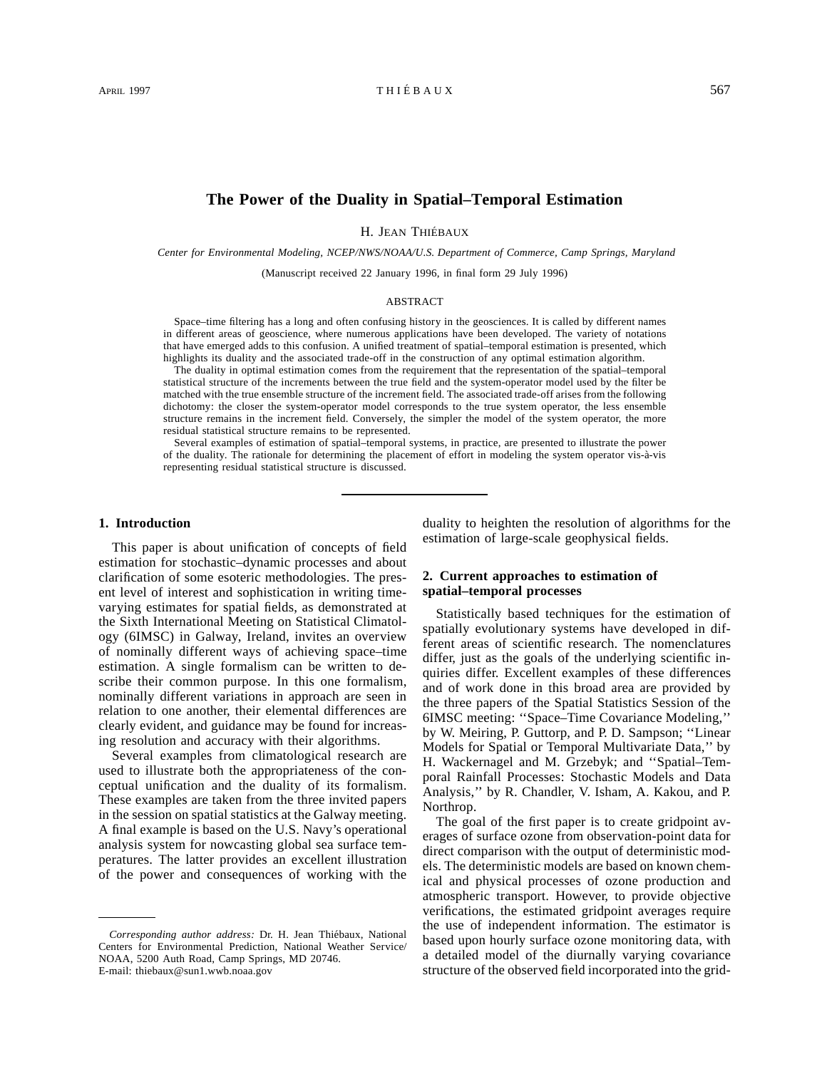# **The Power of the Duality in Spatial–Temporal Estimation**

H. JEAN THIÉBAUX

*Center for Environmental Modeling, NCEP/NWS/NOAA/U.S. Department of Commerce, Camp Springs, Maryland*

(Manuscript received 22 January 1996, in final form 29 July 1996)

#### **ABSTRACT**

Space–time filtering has a long and often confusing history in the geosciences. It is called by different names in different areas of geoscience, where numerous applications have been developed. The variety of notations that have emerged adds to this confusion. A unified treatment of spatial–temporal estimation is presented, which highlights its duality and the associated trade-off in the construction of any optimal estimation algorithm.

The duality in optimal estimation comes from the requirement that the representation of the spatial–temporal statistical structure of the increments between the true field and the system-operator model used by the filter be matched with the true ensemble structure of the increment field. The associated trade-off arises from the following dichotomy: the closer the system-operator model corresponds to the true system operator, the less ensemble structure remains in the increment field. Conversely, the simpler the model of the system operator, the more residual statistical structure remains to be represented.

Several examples of estimation of spatial–temporal systems, in practice, are presented to illustrate the power of the duality. The rationale for determining the placement of effort in modeling the system operator vis-a`-vis representing residual statistical structure is discussed.

#### **1. Introduction**

This paper is about unification of concepts of field estimation for stochastic–dynamic processes and about clarification of some esoteric methodologies. The present level of interest and sophistication in writing timevarying estimates for spatial fields, as demonstrated at the Sixth International Meeting on Statistical Climatology (6IMSC) in Galway, Ireland, invites an overview of nominally different ways of achieving space–time estimation. A single formalism can be written to describe their common purpose. In this one formalism, nominally different variations in approach are seen in relation to one another, their elemental differences are clearly evident, and guidance may be found for increasing resolution and accuracy with their algorithms.

Several examples from climatological research are used to illustrate both the appropriateness of the conceptual unification and the duality of its formalism. These examples are taken from the three invited papers in the session on spatial statistics at the Galway meeting. A final example is based on the U.S. Navy's operational analysis system for nowcasting global sea surface temperatures. The latter provides an excellent illustration of the power and consequences of working with the

*Corresponding author address:* Dr. H. Jean Thie´baux, National Centers for Environmental Prediction, National Weather Service/ NOAA, 5200 Auth Road, Camp Springs, MD 20746. E-mail: thiebaux@sun1.wwb.noaa.gov

duality to heighten the resolution of algorithms for the estimation of large-scale geophysical fields.

## **2. Current approaches to estimation of spatial–temporal processes**

Statistically based techniques for the estimation of spatially evolutionary systems have developed in different areas of scientific research. The nomenclatures differ, just as the goals of the underlying scientific inquiries differ. Excellent examples of these differences and of work done in this broad area are provided by the three papers of the Spatial Statistics Session of the 6IMSC meeting: ''Space–Time Covariance Modeling,'' by W. Meiring, P. Guttorp, and P. D. Sampson; ''Linear Models for Spatial or Temporal Multivariate Data,'' by H. Wackernagel and M. Grzebyk; and ''Spatial–Temporal Rainfall Processes: Stochastic Models and Data Analysis,'' by R. Chandler, V. Isham, A. Kakou, and P. Northrop.

The goal of the first paper is to create gridpoint averages of surface ozone from observation-point data for direct comparison with the output of deterministic models. The deterministic models are based on known chemical and physical processes of ozone production and atmospheric transport. However, to provide objective verifications, the estimated gridpoint averages require the use of independent information. The estimator is based upon hourly surface ozone monitoring data, with a detailed model of the diurnally varying covariance structure of the observed field incorporated into the grid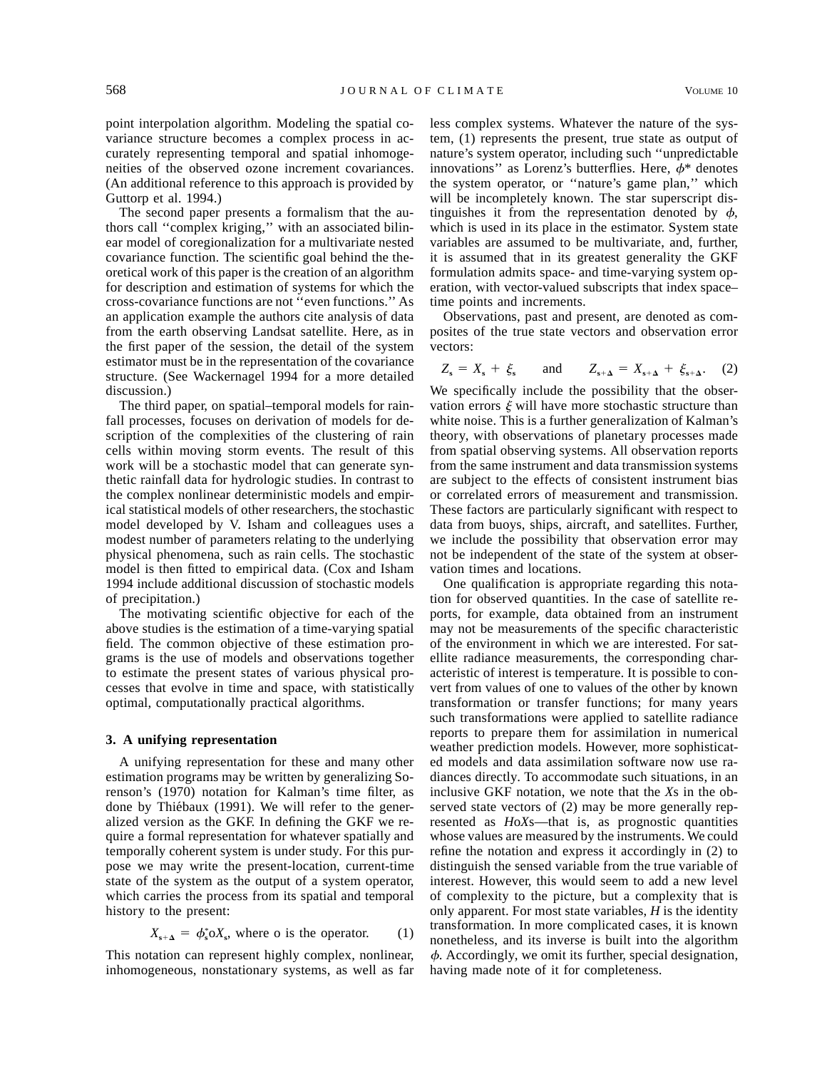point interpolation algorithm. Modeling the spatial covariance structure becomes a complex process in accurately representing temporal and spatial inhomogeneities of the observed ozone increment covariances. (An additional reference to this approach is provided by Guttorp et al. 1994.)

The second paper presents a formalism that the authors call ''complex kriging,'' with an associated bilinear model of coregionalization for a multivariate nested covariance function. The scientific goal behind the theoretical work of this paper is the creation of an algorithm for description and estimation of systems for which the cross-covariance functions are not ''even functions.'' As an application example the authors cite analysis of data from the earth observing Landsat satellite. Here, as in the first paper of the session, the detail of the system estimator must be in the representation of the covariance structure. (See Wackernagel 1994 for a more detailed discussion.)

The third paper, on spatial–temporal models for rainfall processes, focuses on derivation of models for description of the complexities of the clustering of rain cells within moving storm events. The result of this work will be a stochastic model that can generate synthetic rainfall data for hydrologic studies. In contrast to the complex nonlinear deterministic models and empirical statistical models of other researchers, the stochastic model developed by V. Isham and colleagues uses a modest number of parameters relating to the underlying physical phenomena, such as rain cells. The stochastic model is then fitted to empirical data. (Cox and Isham 1994 include additional discussion of stochastic models of precipitation.)

The motivating scientific objective for each of the above studies is the estimation of a time-varying spatial field. The common objective of these estimation programs is the use of models and observations together to estimate the present states of various physical processes that evolve in time and space, with statistically optimal, computationally practical algorithms.

### **3. A unifying representation**

A unifying representation for these and many other estimation programs may be written by generalizing Sorenson's (1970) notation for Kalman's time filter, as done by Thiébaux (1991). We will refer to the generalized version as the GKF. In defining the GKF we require a formal representation for whatever spatially and temporally coherent system is under study. For this purpose we may write the present-location, current-time state of the system as the output of a system operator, which carries the process from its spatial and temporal history to the present:

$$
X_{s+\Delta} = \phi_s^* \circ X_s
$$
, where  $\circ$  is the operator. (1)

This notation can represent highly complex, nonlinear, inhomogeneous, nonstationary systems, as well as far

less complex systems. Whatever the nature of the system, (1) represents the present, true state as output of nature's system operator, including such ''unpredictable innovations" as Lorenz's butterflies. Here,  $\phi^*$  denotes the system operator, or ''nature's game plan,'' which will be incompletely known. The star superscript distinguishes it from the representation denoted by  $\phi$ , which is used in its place in the estimator. System state variables are assumed to be multivariate, and, further, it is assumed that in its greatest generality the GKF formulation admits space- and time-varying system operation, with vector-valued subscripts that index space– time points and increments.

Observations, past and present, are denoted as composites of the true state vectors and observation error vectors:

$$
Z_s = X_s + \xi_s \qquad \text{and} \qquad Z_{s+\Delta} = X_{s+\Delta} + \xi_{s+\Delta}. \tag{2}
$$

We specifically include the possibility that the observation errors  $\xi$  will have more stochastic structure than white noise. This is a further generalization of Kalman's theory, with observations of planetary processes made from spatial observing systems. All observation reports from the same instrument and data transmission systems are subject to the effects of consistent instrument bias or correlated errors of measurement and transmission. These factors are particularly significant with respect to data from buoys, ships, aircraft, and satellites. Further, we include the possibility that observation error may not be independent of the state of the system at observation times and locations.

One qualification is appropriate regarding this notation for observed quantities. In the case of satellite reports, for example, data obtained from an instrument may not be measurements of the specific characteristic of the environment in which we are interested. For satellite radiance measurements, the corresponding characteristic of interest is temperature. It is possible to convert from values of one to values of the other by known transformation or transfer functions; for many years such transformations were applied to satellite radiance reports to prepare them for assimilation in numerical weather prediction models. However, more sophisticated models and data assimilation software now use radiances directly. To accommodate such situations, in an inclusive GKF notation, we note that the *X*s in the observed state vectors of (2) may be more generally represented as *H*o*X*s—that is, as prognostic quantities whose values are measured by the instruments. We could refine the notation and express it accordingly in (2) to distinguish the sensed variable from the true variable of interest. However, this would seem to add a new level of complexity to the picture, but a complexity that is only apparent. For most state variables, *H* is the identity transformation. In more complicated cases, it is known nonetheless, and its inverse is built into the algorithm  $\phi$ . Accordingly, we omit its further, special designation, having made note of it for completeness.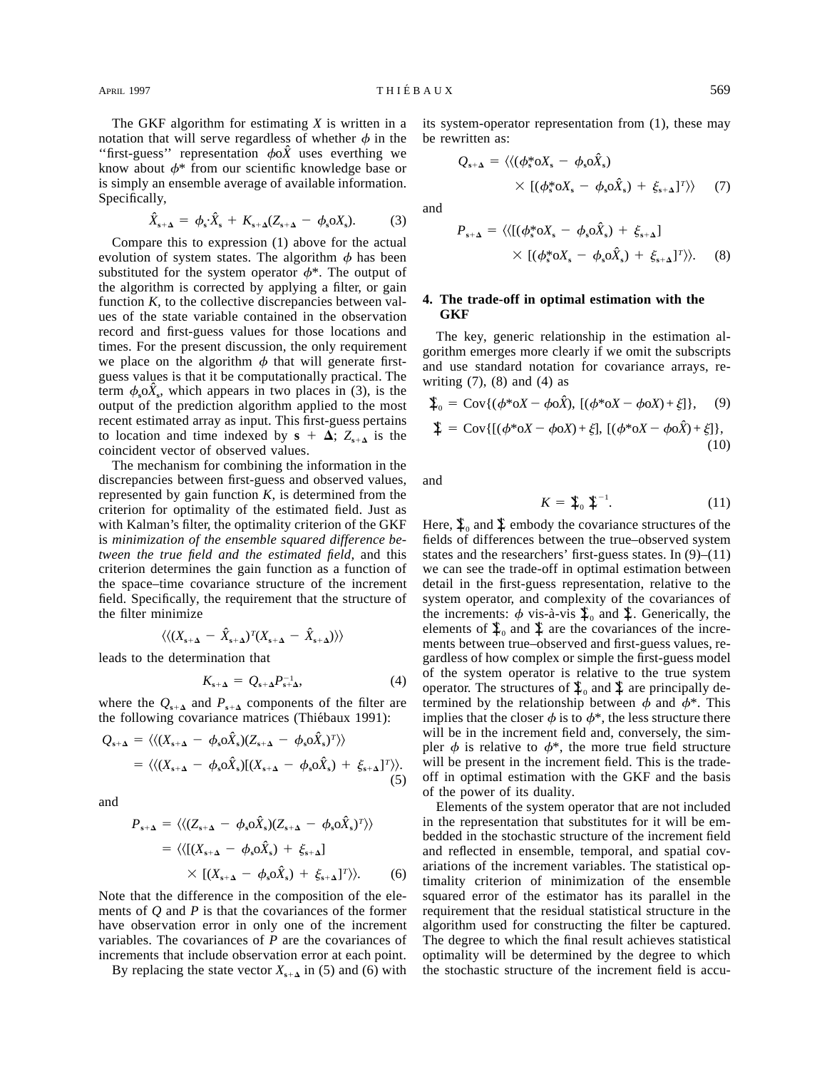The GKF algorithm for estimating *X* is written in a notation that will serve regardless of whether  $\phi$  in the "first-guess" representation  $\phi \circ \hat{X}$  uses everthing we know about  $\phi^*$  from our scientific knowledge base or is simply an ensemble average of available information. Specifically,

$$
\hat{X}_{s+\Delta} = \phi_s \cdot \hat{X}_s + K_{s+\Delta} (Z_{s+\Delta} - \phi_s \circ X_s). \tag{3}
$$

Compare this to expression (1) above for the actual evolution of system states. The algorithm  $\phi$  has been substituted for the system operator  $\phi^*$ . The output of the algorithm is corrected by applying a filter, or gain function *K*, to the collective discrepancies between values of the state variable contained in the observation record and first-guess values for those locations and times. For the present discussion, the only requirement we place on the algorithm  $\phi$  that will generate firstguess values is that it be computationally practical. The term  $\phi_s \circ \hat{X}_s$ , which appears in two places in (3), is the output of the prediction algorithm applied to the most recent estimated array as input. This first-guess pertains to location and time indexed by  $s + \Delta$ ;  $Z_{s+\Delta}$  is the coincident vector of observed values.

The mechanism for combining the information in the discrepancies between first-guess and observed values, represented by gain function  $K$ , is determined from the criterion for optimality of the estimated field. Just as with Kalman's filter, the optimality criterion of the GKF is *minimization of the ensemble squared difference between the true field and the estimated field,* and this criterion determines the gain function as a function of the space–time covariance structure of the increment field. Specifically, the requirement that the structure of the filter minimize

$$
\langle\langle (X_{s+\Delta}-\hat{X}_{s+\Delta})^T (X_{s+\Delta}-\hat{X}_{s+\Delta})\rangle\rangle
$$

leads to the determination that

$$
K_{s+\Delta} = Q_{s+\Delta} P_{s+\Delta}^{-1},\tag{4}
$$

where the  $Q_{s+\Delta}$  and  $P_{s+\Delta}$  components of the filter are the following covariance matrices (Thiébaux 1991):

$$
Q_{s+\Delta} = \langle \langle (X_{s+\Delta} - \phi_s \circ \hat{X}_s)(Z_{s+\Delta} - \phi_s \circ \hat{X}_s)^T \rangle \rangle
$$
  
= \langle \langle (X\_{s+\Delta} - \phi\_s \circ \hat{X}\_s)[(X\_{s+\Delta} - \phi\_s \circ \hat{X}\_s) + \xi\_{s+\Delta}]^T \rangle \rangle. (5)

and

$$
P_{s+\Delta} = \langle \langle (Z_{s+\Delta} - \phi_s \circ \hat{X}_s)(Z_{s+\Delta} - \phi_s \circ \hat{X}_s)^T \rangle \rangle
$$
  
=  $\langle \langle [X_{s+\Delta} - \phi_s \circ \hat{X}_s) + \xi_{s+\Delta}]$   
 $\times [X_{s+\Delta} - \phi_s \circ \hat{X}_s) + \xi_{s+\Delta}]^T \rangle \rangle.$  (6)

Note that the difference in the composition of the elements of *Q* and *P* is that the covariances of the former have observation error in only one of the increment variables. The covariances of *P* are the covariances of increments that include observation error at each point.

By replacing the state vector  $X_{s+\Delta}$  in (5) and (6) with

its system-operator representation from (1), these may be rewritten as:

$$
Q_{s+\Delta} = \langle \langle (\phi_s^* \circ X_s - \phi_s \circ \hat{X}_s) \times [(\phi_s^* \circ X_s - \phi_s \circ \hat{X}_s) + \xi_{s+\Delta}]^T \rangle \rangle \qquad (7)
$$

and

$$
P_{s+\Delta} = \langle \langle [(\phi_s^* \circ X_s - \phi_s \circ \hat{X}_s) + \xi_{s+\Delta}] \times [(\phi_s^* \circ X_s - \phi_s \circ \hat{X}_s) + \xi_{s+\Delta}]^T \rangle \rangle. \tag{8}
$$

## **4. The trade-off in optimal estimation with the GKF**

The key, generic relationship in the estimation algorithm emerges more clearly if we omit the subscripts and use standard notation for covariance arrays, rewriting  $(7)$ ,  $(8)$  and  $(4)$  as

$$
\begin{aligned} \n\mathbf{\dot{X}}_0 &= \text{Cov}\{(\phi^* \circ X - \phi \circ \hat{X}), \, [(\phi^* \circ X - \phi \circ X) + \xi]\}, \quad (9) \\ \n\mathbf{\dot{X}} &= \text{Cov}\{ [(\phi^* \circ X - \phi \circ X) + \xi], \, [(\phi^* \circ X - \phi \circ \hat{X}) + \xi]\}, \quad (10) \n\end{aligned}
$$

and

$$
K = \mathbf{\ddot{X}}_0 \mathbf{\ddot{X}}^{-1}.
$$
 (11)

Here,  $\mathbf{\ddot{x}}_0$  and  $\mathbf{\ddot{x}}_0$  embody the covariance structures of the fields of differences between the true–observed system states and the researchers' first-guess states. In (9)–(11) we can see the trade-off in optimal estimation between detail in the first-guess representation, relative to the system operator, and complexity of the covariances of the increments:  $\phi$  vis-à-vis  $\mathbf{\ddot{x}}_0$  and  $\mathbf{\ddot{x}}$ . Generically, the elements of  $\mathbf{\Sigma}_0$  and  $\mathbf{\Sigma}$  are the covariances of the increments between true–observed and first-guess values, regardless of how complex or simple the first-guess model of the system operator is relative to the true system operator. The structures of  $\mathfrak{X}_0$  and  $\mathfrak{X}$  are principally determined by the relationship between  $\phi$  and  $\phi^*$ . This implies that the closer  $\phi$  is to  $\phi^*$ , the less structure there will be in the increment field and, conversely, the simpler  $\phi$  is relative to  $\phi^*$ , the more true field structure will be present in the increment field. This is the tradeoff in optimal estimation with the GKF and the basis of the power of its duality.

Elements of the system operator that are not included in the representation that substitutes for it will be embedded in the stochastic structure of the increment field and reflected in ensemble, temporal, and spatial covariations of the increment variables. The statistical optimality criterion of minimization of the ensemble squared error of the estimator has its parallel in the requirement that the residual statistical structure in the algorithm used for constructing the filter be captured. The degree to which the final result achieves statistical optimality will be determined by the degree to which the stochastic structure of the increment field is accu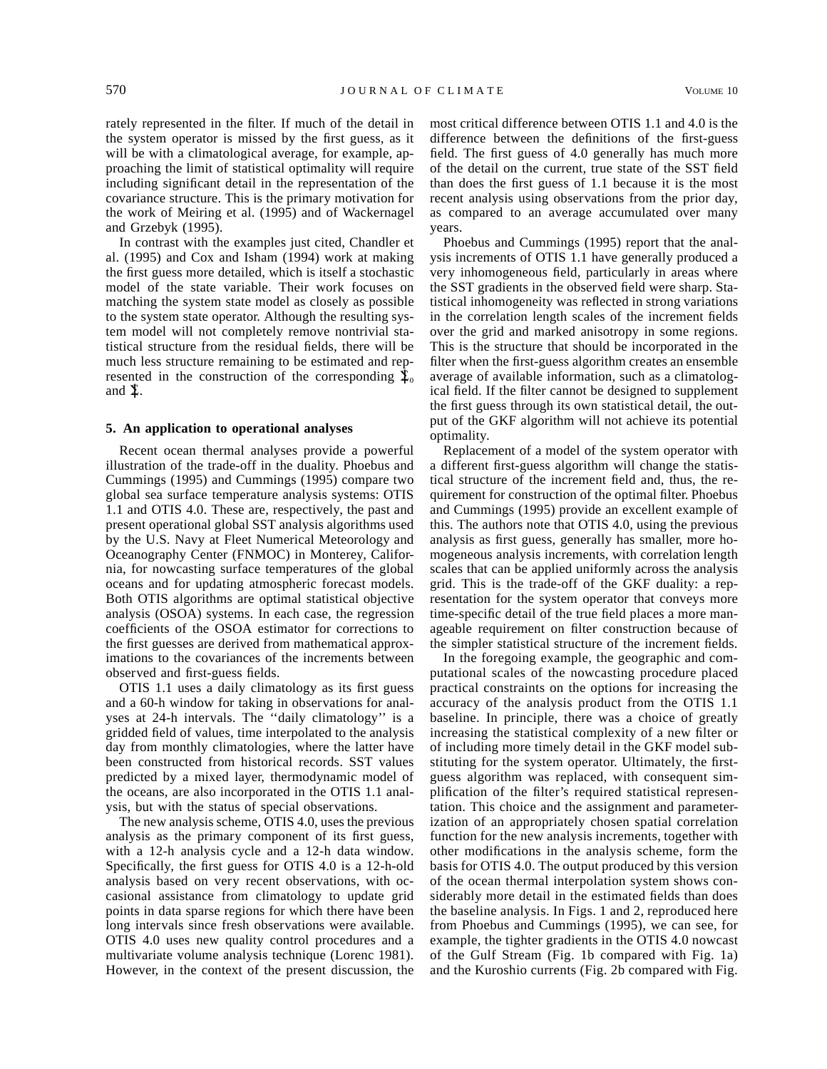rately represented in the filter. If much of the detail in the system operator is missed by the first guess, as it will be with a climatological average, for example, approaching the limit of statistical optimality will require including significant detail in the representation of the covariance structure. This is the primary motivation for the work of Meiring et al. (1995) and of Wackernagel and Grzebyk (1995).

In contrast with the examples just cited, Chandler et al. (1995) and Cox and Isham (1994) work at making the first guess more detailed, which is itself a stochastic model of the state variable. Their work focuses on matching the system state model as closely as possible to the system state operator. Although the resulting system model will not completely remove nontrivial statistical structure from the residual fields, there will be much less structure remaining to be estimated and represented in the construction of the corresponding  $\mathbf{\Sigma}_0$ and  $\Sigma$ .

### **5. An application to operational analyses**

Recent ocean thermal analyses provide a powerful illustration of the trade-off in the duality. Phoebus and Cummings (1995) and Cummings (1995) compare two global sea surface temperature analysis systems: OTIS 1.1 and OTIS 4.0. These are, respectively, the past and present operational global SST analysis algorithms used by the U.S. Navy at Fleet Numerical Meteorology and Oceanography Center (FNMOC) in Monterey, California, for nowcasting surface temperatures of the global oceans and for updating atmospheric forecast models. Both OTIS algorithms are optimal statistical objective analysis (OSOA) systems. In each case, the regression coefficients of the OSOA estimator for corrections to the first guesses are derived from mathematical approximations to the covariances of the increments between observed and first-guess fields.

OTIS 1.1 uses a daily climatology as its first guess and a 60-h window for taking in observations for analyses at 24-h intervals. The ''daily climatology'' is a gridded field of values, time interpolated to the analysis day from monthly climatologies, where the latter have been constructed from historical records. SST values predicted by a mixed layer, thermodynamic model of the oceans, are also incorporated in the OTIS 1.1 analysis, but with the status of special observations.

The new analysis scheme, OTIS 4.0, uses the previous analysis as the primary component of its first guess, with a 12-h analysis cycle and a 12-h data window. Specifically, the first guess for OTIS 4.0 is a 12-h-old analysis based on very recent observations, with occasional assistance from climatology to update grid points in data sparse regions for which there have been long intervals since fresh observations were available. OTIS 4.0 uses new quality control procedures and a multivariate volume analysis technique (Lorenc 1981). However, in the context of the present discussion, the

most critical difference between OTIS 1.1 and 4.0 is the difference between the definitions of the first-guess field. The first guess of 4.0 generally has much more of the detail on the current, true state of the SST field than does the first guess of 1.1 because it is the most recent analysis using observations from the prior day, as compared to an average accumulated over many years.

Phoebus and Cummings (1995) report that the analysis increments of OTIS 1.1 have generally produced a very inhomogeneous field, particularly in areas where the SST gradients in the observed field were sharp. Statistical inhomogeneity was reflected in strong variations in the correlation length scales of the increment fields over the grid and marked anisotropy in some regions. This is the structure that should be incorporated in the filter when the first-guess algorithm creates an ensemble average of available information, such as a climatological field. If the filter cannot be designed to supplement the first guess through its own statistical detail, the output of the GKF algorithm will not achieve its potential optimality.

Replacement of a model of the system operator with a different first-guess algorithm will change the statistical structure of the increment field and, thus, the requirement for construction of the optimal filter. Phoebus and Cummings (1995) provide an excellent example of this. The authors note that OTIS 4.0, using the previous analysis as first guess, generally has smaller, more homogeneous analysis increments, with correlation length scales that can be applied uniformly across the analysis grid. This is the trade-off of the GKF duality: a representation for the system operator that conveys more time-specific detail of the true field places a more manageable requirement on filter construction because of the simpler statistical structure of the increment fields.

In the foregoing example, the geographic and computational scales of the nowcasting procedure placed practical constraints on the options for increasing the accuracy of the analysis product from the OTIS 1.1 baseline. In principle, there was a choice of greatly increasing the statistical complexity of a new filter or of including more timely detail in the GKF model substituting for the system operator. Ultimately, the firstguess algorithm was replaced, with consequent simplification of the filter's required statistical representation. This choice and the assignment and parameterization of an appropriately chosen spatial correlation function for the new analysis increments, together with other modifications in the analysis scheme, form the basis for OTIS 4.0. The output produced by this version of the ocean thermal interpolation system shows considerably more detail in the estimated fields than does the baseline analysis. In Figs. 1 and 2, reproduced here from Phoebus and Cummings (1995), we can see, for example, the tighter gradients in the OTIS 4.0 nowcast of the Gulf Stream (Fig. 1b compared with Fig. 1a) and the Kuroshio currents (Fig. 2b compared with Fig.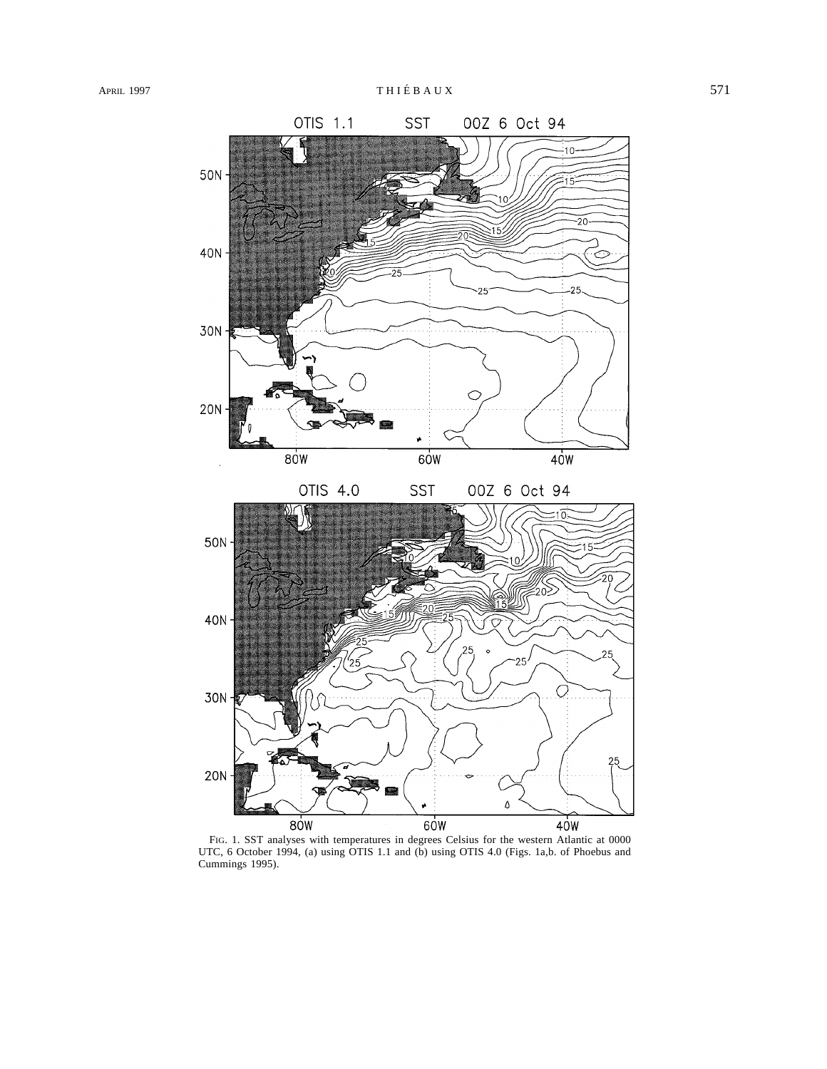

FIG. 1. SST analyses with temperatures in degrees Celsius for the western Atlantic at 0000 UTC, 6 October 1994, (a) using OTIS 1.1 and (b) using OTIS 4.0 (Figs. 1a,b. of Phoebus and Cummings 1995).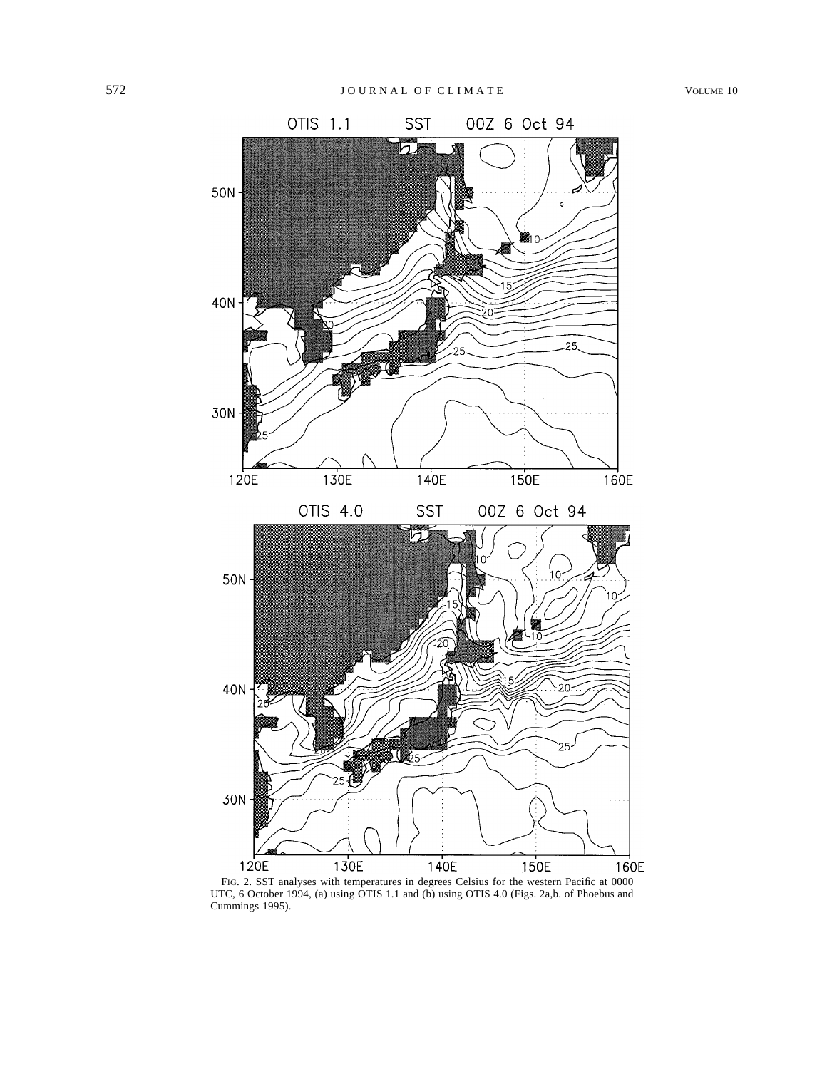

FIG. 2. SST analyses with temperatures in degrees Celsius for the western Pacific at 0000 UTC, 6 October 1994, (a) using OTIS 1.1 and (b) using OTIS 4.0 (Figs. 2a,b. of Phoebus and Cummings 1995).